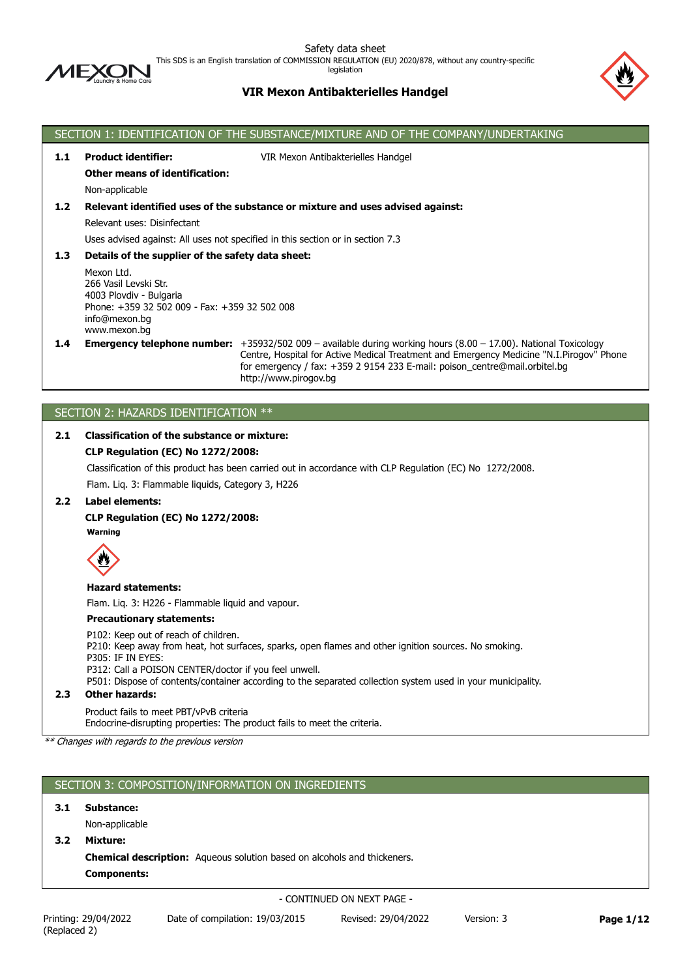

This SDS is an English translation of COMMISSION REGULATION (EU) 2020/878, without any country-specific

legislation

# **VIR Mexon Antibakterielles Handgel**



# SECTION 1: IDENTIFICATION OF THE SUBSTANCE/MIXTURE AND OF THE COMPANY/UNDERTAKING **1.1 Product identifier:** VIR Mexon Antibakterielles Handgel **Other means of identification:** Non-applicable **1.2 Relevant identified uses of the substance or mixture and uses advised against:** Relevant uses: Disinfectant Uses advised against: All uses not specified in this section or in section 7.3 **1.3 Details of the supplier of the safety data sheet:** Mexon Ltd. 266 Vasil Levski Str. 4003 Plovdiv - Bulgaria Phone: +359 32 502 009 - Fax: +359 32 502 008 info@mexon.bg www.mexon.bg **1.4 Emergency telephone number:** +35932/502 009 – available during working hours (8.00 – 17.00). National Тoxicology Centre, Hospital for Active Medical Treatment and Emergency Medicine "N.I.Pirogov" Phone for emergency / fax: +359 2 9154 233 E-mail: poison\_centre@mail.orbitel.bg

# SECTION 2: HAZARDS IDENTIFICATION \*\*

### **2.1 Classification of the substance or mixture:**

### **CLP Regulation (EC) No 1272/2008:**

Classification of this product has been carried out in accordance with CLP Regulation (EC) No 1272/2008.

http://www.pirogov.bg

Flam. Liq. 3: Flammable liquids, Category 3, H226

### **2.2 Label elements:**

**CLP Regulation (EC) No 1272/2008:**

**Warning**



**Hazard statements:**

Flam. Liq. 3: H226 - Flammable liquid and vapour.

#### **Precautionary statements:**

P102: Keep out of reach of children. P210: Keep away from heat, hot surfaces, sparks, open flames and other ignition sources. No smoking. P305: IF IN EYES: P312: Call a POISON CENTER/doctor if you feel unwell. P501: Dispose of contents/container according to the separated collection system used in your municipality.

**2.3 Other hazards:**

Product fails to meet PBT/vPvB criteria

Endocrine-disrupting properties: The product fails to meet the criteria.

*\*\* Changes with regards to the previous version*

## SECTION 3: COMPOSITION/INFORMATION ON INGREDIENTS

**3.1 Substance:**

Non-applicable

**3.2 Mixture:**

**Chemical description:** Aqueous solution based on alcohols and thickeners.

**Components:**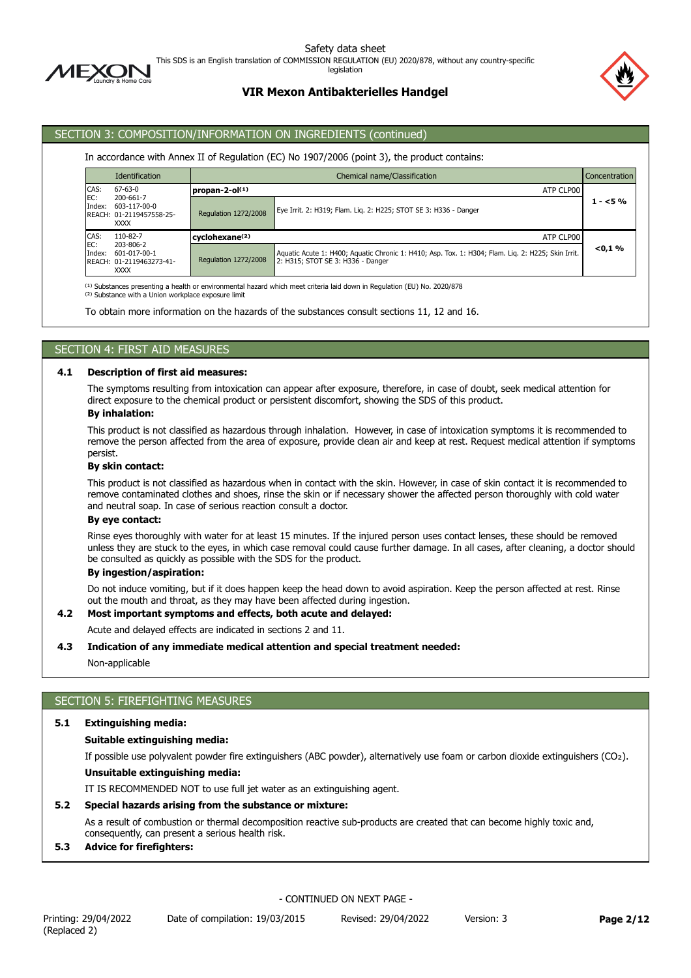

This SDS is an English translation of COMMISSION REGULATION (EU) 2020/878, without any country-specific

legislation

# **VIR Mexon Antibakterielles Handgel**

# SECTION 3: COMPOSITION/INFORMATION ON INGREDIENTS (continued)

### In accordance with Annex II of Regulation (EC) No 1907/2006 (point 3), the product contains:

|               | <b>Identification</b>                                                | Chemical name/Classification |                                                                                                                                         |            |  |
|---------------|----------------------------------------------------------------------|------------------------------|-----------------------------------------------------------------------------------------------------------------------------------------|------------|--|
| CAS:          | $67 - 63 - 0$                                                        | propan-2-ol $(1)$            | ATP CLP00                                                                                                                               |            |  |
| EC:<br>Index: | 200-661-7<br>603-117-00-0<br>REACH: 01-2119457558-25-<br><b>XXXX</b> | Regulation 1272/2008         | Eye Irrit. 2: H319; Flam. Lig. 2: H225; STOT SE 3: H336 - Danger                                                                        | $1 - 5\%$  |  |
| CAS:          | 110-82-7                                                             | cyclohexane <sup>(2)</sup>   | ATP CLP00                                                                                                                               |            |  |
| EC:<br>Index: | 203-806-2<br>601-017-00-1<br>REACH: 01-2119463273-41-<br><b>XXXX</b> | <b>Regulation 1272/2008</b>  | Aquatic Acute 1: H400; Aquatic Chronic 1: H410; Asp. Tox. 1: H304; Flam. Liq. 2: H225; Skin Irrit.<br>2: H315; STOT SE 3: H336 - Danger | $< 0.1 \%$ |  |

<sup>(1)</sup> Substances presenting a health or environmental hazard which meet criteria laid down in Regulation (EU) No. 2020/878

<sup>(2)</sup> Substance with a Union workplace exposure limit

To obtain more information on the hazards of the substances consult sections 11, 12 and 16.

## SECTION 4: FIRST AID MEASURES

### **4.1 Description of first aid measures:**

The symptoms resulting from intoxication can appear after exposure, therefore, in case of doubt, seek medical attention for direct exposure to the chemical product or persistent discomfort, showing the SDS of this product.

#### **By inhalation:**

This product is not classified as hazardous through inhalation. However, in case of intoxication symptoms it is recommended to remove the person affected from the area of exposure, provide clean air and keep at rest. Request medical attention if symptoms persist.

#### **By skin contact:**

This product is not classified as hazardous when in contact with the skin. However, in case of skin contact it is recommended to remove contaminated clothes and shoes, rinse the skin or if necessary shower the affected person thoroughly with cold water and neutral soap. In case of serious reaction consult a doctor.

### **By eye contact:**

Rinse eyes thoroughly with water for at least 15 minutes. If the injured person uses contact lenses, these should be removed unless they are stuck to the eyes, in which case removal could cause further damage. In all cases, after cleaning, a doctor should be consulted as quickly as possible with the SDS for the product.

#### **By ingestion/aspiration:**

Do not induce vomiting, but if it does happen keep the head down to avoid aspiration. Keep the person affected at rest. Rinse out the mouth and throat, as they may have been affected during ingestion.

### **4.2 Most important symptoms and effects, both acute and delayed:**

Acute and delayed effects are indicated in sections 2 and 11.

### **4.3 Indication of any immediate medical attention and special treatment needed:**

#### Non-applicable

## SECTION 5: FIREFIGHTING MEASURES

### **5.1 Extinguishing media:**

### **Suitable extinguishing media:**

If possible use polyvalent powder fire extinguishers (ABC powder), alternatively use foam or carbon dioxide extinguishers (CO₂).

### **Unsuitable extinguishing media:**

IT IS RECOMMENDED NOT to use full jet water as an extinguishing agent.

### **5.2 Special hazards arising from the substance or mixture:**

As a result of combustion or thermal decomposition reactive sub-products are created that can become highly toxic and, consequently, can present a serious health risk.

### **5.3 Advice for firefighters:**

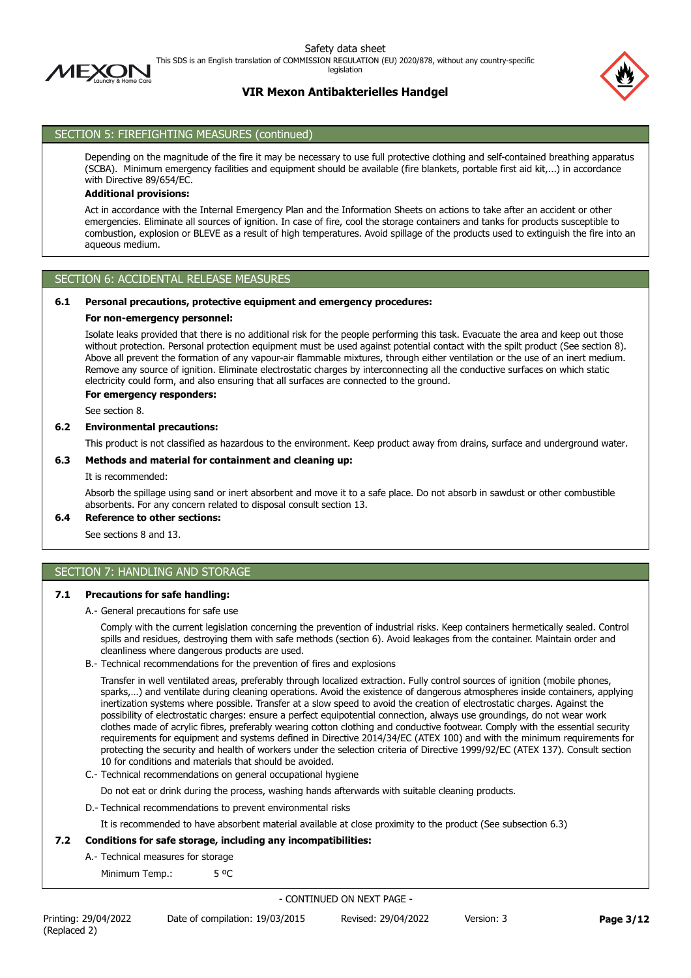

legislation

# **VIR Mexon Antibakterielles Handgel**



## SECTION 5: FIREFIGHTING MEASURES (continued)

Depending on the magnitude of the fire it may be necessary to use full protective clothing and self-contained breathing apparatus (SCBA). Minimum emergency facilities and equipment should be available (fire blankets, portable first aid kit,...) in accordance with Directive 89/654/EC.

#### **Additional provisions:**

Act in accordance with the Internal Emergency Plan and the Information Sheets on actions to take after an accident or other emergencies. Eliminate all sources of ignition. In case of fire, cool the storage containers and tanks for products susceptible to combustion, explosion or BLEVE as a result of high temperatures. Avoid spillage of the products used to extinguish the fire into an aqueous medium.

## SECTION 6: ACCIDENTAL RELEASE MEASURES

### **6.1 Personal precautions, protective equipment and emergency procedures:**

#### **For non-emergency personnel:**

Isolate leaks provided that there is no additional risk for the people performing this task. Evacuate the area and keep out those without protection. Personal protection equipment must be used against potential contact with the spilt product (See section 8). Above all prevent the formation of any vapour-air flammable mixtures, through either ventilation or the use of an inert medium. Remove any source of ignition. Eliminate electrostatic charges by interconnecting all the conductive surfaces on which static electricity could form, and also ensuring that all surfaces are connected to the ground.

#### **For emergency responders:**

See section 8.

### **6.2 Environmental precautions:**

This product is not classified as hazardous to the environment. Keep product away from drains, surface and underground water.

#### **6.3 Methods and material for containment and cleaning up:**

It is recommended:

Absorb the spillage using sand or inert absorbent and move it to a safe place. Do not absorb in sawdust or other combustible absorbents. For any concern related to disposal consult section 13.

### **6.4 Reference to other sections:**

See sections 8 and 13.

# SECTION 7: HANDLING AND STORAGE

### **7.1 Precautions for safe handling:**

A.- General precautions for safe use

Comply with the current legislation concerning the prevention of industrial risks. Keep containers hermetically sealed. Control spills and residues, destroying them with safe methods (section 6). Avoid leakages from the container. Maintain order and cleanliness where dangerous products are used.

B.- Technical recommendations for the prevention of fires and explosions

Transfer in well ventilated areas, preferably through localized extraction. Fully control sources of ignition (mobile phones, sparks,…) and ventilate during cleaning operations. Avoid the existence of dangerous atmospheres inside containers, applying inertization systems where possible. Transfer at a slow speed to avoid the creation of electrostatic charges. Against the possibility of electrostatic charges: ensure a perfect equipotential connection, always use groundings, do not wear work clothes made of acrylic fibres, preferably wearing cotton clothing and conductive footwear. Comply with the essential security requirements for equipment and systems defined in Directive 2014/34/EC (ATEX 100) and with the minimum requirements for protecting the security and health of workers under the selection criteria of Directive 1999/92/EC (ATEX 137). Consult section 10 for conditions and materials that should be avoided.

- C.- Technical recommendations on general occupational hygiene
- Do not eat or drink during the process, washing hands afterwards with suitable cleaning products.
- D.- Technical recommendations to prevent environmental risks

It is recommended to have absorbent material available at close proximity to the product (See subsection 6.3)

### **7.2 Conditions for safe storage, including any incompatibilities:**

- A.- Technical measures for storage
	- Minimum Temp.: 5 °C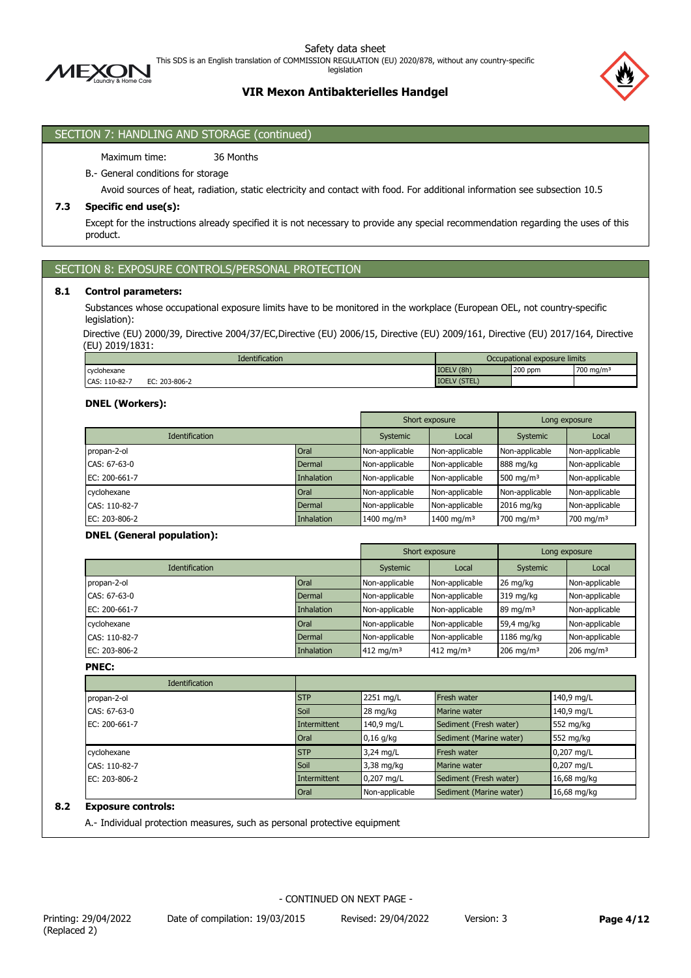

This SDS is an English translation of COMMISSION REGULATION (EU) 2020/878, without any country-specific

legislation

## **VIR Mexon Antibakterielles Handgel**



## SECTION 7: HANDLING AND STORAGE (continued)

Maximum time: 36 Months

### B.- General conditions for storage

Avoid sources of heat, radiation, static electricity and contact with food. For additional information see subsection 10.5

### **7.3 Specific end use(s):**

Except for the instructions already specified it is not necessary to provide any special recommendation regarding the uses of this product.

### SECTION 8: EXPOSURE CONTROLS/PERSONAL PROTECTION

### **8.1 Control parameters:**

Substances whose occupational exposure limits have to be monitored in the workplace (European OEL, not country-specific legislation):

Directive (EU) 2000/39, Directive 2004/37/EC,Directive (EU) 2006/15, Directive (EU) 2009/161, Directive (EU) 2017/164, Directive (EU) 2019/1831:

| <b>Identification</b>             | Occupational exposure limits       |         |                       |
|-----------------------------------|------------------------------------|---------|-----------------------|
| cyclohexane                       | IOELV (8h)                         | 200 ppm | 700 mg/m <sup>3</sup> |
| CAS: 110-82-7<br>203-806-2<br>FC. | <b>IOELV (STEL</b><br><b>191LL</b> |         |                       |

### **DNEL (Workers):**

|                       |                   | Short exposure         |                        | Long exposure        |                |
|-----------------------|-------------------|------------------------|------------------------|----------------------|----------------|
| <b>Identification</b> |                   | Systemic               | Local                  | Systemic             | Local          |
| propan-2-ol           | Oral              | Non-applicable         | Non-applicable         | Non-applicable       | Non-applicable |
| CAS: 67-63-0          | Dermal            | Non-applicable         | Non-applicable         | 888 mg/kg            | Non-applicable |
| EC: 200-661-7         | <b>Inhalation</b> | Non-applicable         | Non-applicable         | 500 mg/m $3$         | Non-applicable |
| cyclohexane           | Oral              | Non-applicable         | Non-applicable         | Non-applicable       | Non-applicable |
| CAS: 110-82-7         | Dermal            | Non-applicable         | Non-applicable         | 2016 mg/kg           | Non-applicable |
| EC: 203-806-2         | <b>Inhalation</b> | 1400 mg/m <sup>3</sup> | 1400 mg/m <sup>3</sup> | $700 \text{ mg/m}^3$ | 700 mg/m $3$   |

### **DNEL (General population):**

|                       |            | Short exposure        |                       | Long exposure           |                |
|-----------------------|------------|-----------------------|-----------------------|-------------------------|----------------|
| <b>Identification</b> |            | Systemic              | Local                 | Systemic                | Local          |
| propan-2-ol           | Oral       | Non-applicable        | Non-applicable        | 26 mg/kg                | Non-applicable |
| CAS: 67-63-0          | Dermal     | Non-applicable        | Non-applicable        | 319 mg/kg               | Non-applicable |
| EC: 200-661-7         | Inhalation | Non-applicable        | Non-applicable        | $89 \text{ mg/m}^3$     | Non-applicable |
| cyclohexane           | Oral       | Non-applicable        | Non-applicable        | 59,4 mg/kg              | Non-applicable |
| CAS: 110-82-7         | Dermal     | Non-applicable        | Non-applicable        | 1186 mg/kg              | Non-applicable |
| EC: 203-806-2         | Inhalation | 412 mg/m <sup>3</sup> | 412 mg/m <sup>3</sup> | $206$ mg/m <sup>3</sup> | 206 mg/m $3$   |

**PNEC:**

| <b>Identification</b> |                     |                |                         |             |
|-----------------------|---------------------|----------------|-------------------------|-------------|
| propan-2-ol           | <b>STP</b>          | 2251 mg/L      | Fresh water             | 140,9 mg/L  |
| CAS: 67-63-0          | Soil                | 28 mg/kg       | <b>Marine water</b>     | 140,9 mg/L  |
| EC: 200-661-7         | Intermittent        | 140,9 mg/L     | Sediment (Fresh water)  | 552 mg/kg   |
|                       | Oral                | $0,16$ g/kg    | Sediment (Marine water) | 552 mg/kg   |
| cyclohexane           | <b>STP</b>          | 3,24 mg/L      | Fresh water             | 0,207 mg/L  |
| CAS: 110-82-7         | Soil                | 3,38 mg/kg     | <b>Marine water</b>     | 0,207 mg/L  |
| EC: 203-806-2         | <b>Intermittent</b> | 0,207 mg/L     | Sediment (Fresh water)  | 16,68 mg/kg |
|                       | Oral                | Non-applicable | Sediment (Marine water) | 16,68 mg/kg |

## **8.2 Exposure controls:**

A.- Individual protection measures, such as personal protective equipment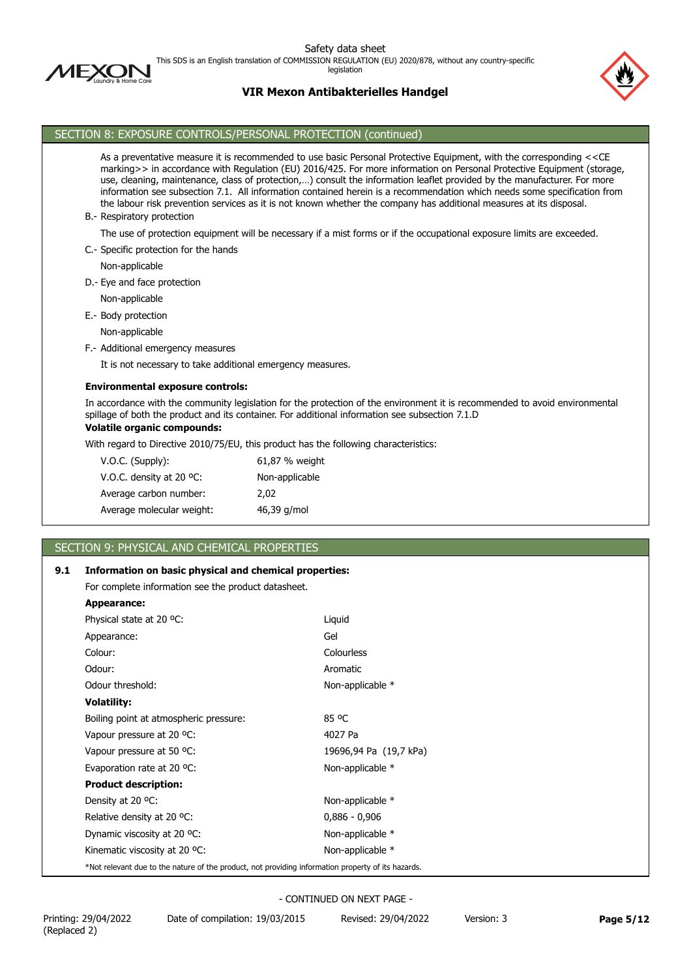

This SDS is an English translation of COMMISSION REGULATION (EU) 2020/878, without any country-specific

legislation

## **VIR Mexon Antibakterielles Handgel**



## SECTION 8: EXPOSURE CONTROLS/PERSONAL PROTECTION (continued)

As a preventative measure it is recommended to use basic Personal Protective Equipment, with the corresponding <<CE marking>> in accordance with Regulation (EU) 2016/425. For more information on Personal Protective Equipment (storage, use, cleaning, maintenance, class of protection,…) consult the information leaflet provided by the manufacturer. For more information see subsection 7.1. All information contained herein is a recommendation which needs some specification from the labour risk prevention services as it is not known whether the company has additional measures at its disposal. B.- Respiratory protection The use of protection equipment will be necessary if a mist forms or if the occupational exposure limits are exceeded. C.- Specific protection for the hands Non-applicable D.- Eye and face protection Non-applicable

E.- Body protection

Non-applicable

F.- Additional emergency measures

It is not necessary to take additional emergency measures.

#### **Environmental exposure controls:**

In accordance with the community legislation for the protection of the environment it is recommended to avoid environmental spillage of both the product and its container. For additional information see subsection 7.1.D

# **Volatile organic compounds:**

With regard to Directive 2010/75/EU, this product has the following characteristics:

| $V.O.C.$ (Supply):                 | 61,87 % weight |
|------------------------------------|----------------|
| V.O.C. density at 20 $^{\circ}$ C: | Non-applicable |
| Average carbon number:             | 2.02           |
| Average molecular weight:          | 46,39 g/mol    |

# SECTION 9: PHYSICAL AND CHEMICAL PROPERTIES

### **9.1 Information on basic physical and chemical properties:**

For complete information see the product datasheet.

| Appearance: |  |
|-------------|--|
|-------------|--|

| Physical state at 20 °C:                                                                           | Liquid                 |
|----------------------------------------------------------------------------------------------------|------------------------|
| Appearance:                                                                                        | Gel                    |
| Colour:                                                                                            | Colourless             |
| Odour:                                                                                             | Aromatic               |
| Odour threshold:                                                                                   | Non-applicable *       |
| Volatility:                                                                                        |                        |
| Boiling point at atmospheric pressure:                                                             | 85 °C                  |
| Vapour pressure at 20 °C:                                                                          | 4027 Pa                |
| Vapour pressure at 50 °C:                                                                          | 19696,94 Pa (19,7 kPa) |
| Evaporation rate at 20 °C:                                                                         | Non-applicable *       |
| <b>Product description:</b>                                                                        |                        |
| Density at 20 °C:                                                                                  | Non-applicable *       |
| Relative density at 20 °C.                                                                         | $0,886 - 0,906$        |
| Dynamic viscosity at 20 °C:                                                                        | Non-applicable *       |
| Kinematic viscosity at 20 °C:                                                                      | Non-applicable *       |
| *Not relevant due to the nature of the product, not providing information property of its hazards. |                        |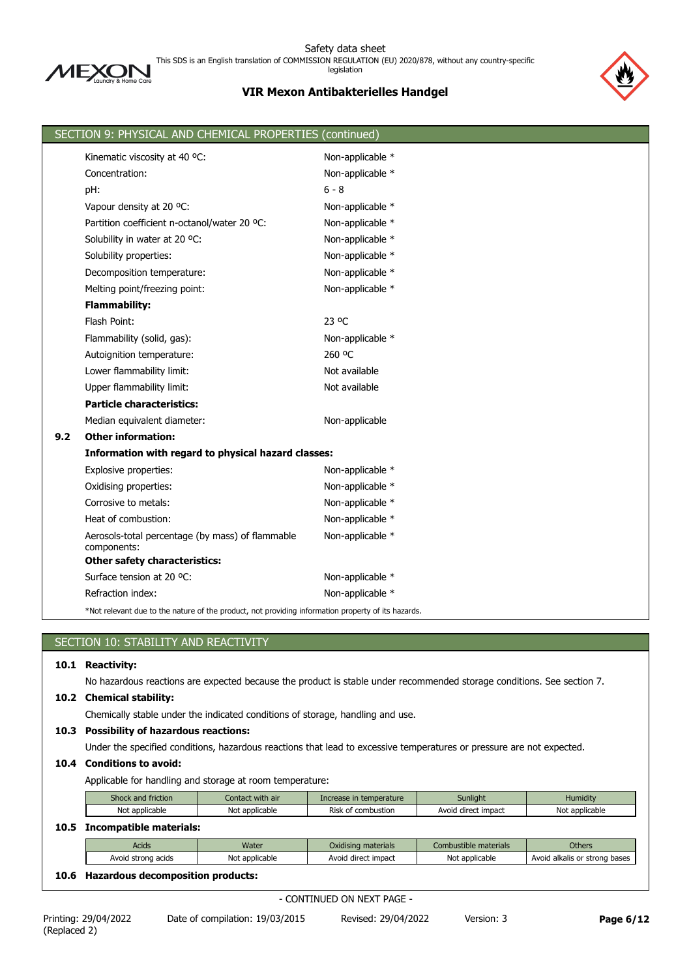

Safety data sheet This SDS is an English translation of COMMISSION REGULATION (EU) 2020/878, without any country-specific legislation

# **VIR Mexon Antibakterielles Handgel**



|     | SECTION 9: PHYSICAL AND CHEMICAL PROPERTIES (continued)                                            |                  |
|-----|----------------------------------------------------------------------------------------------------|------------------|
|     | Kinematic viscosity at 40 °C:                                                                      | Non-applicable * |
|     | Concentration:                                                                                     | Non-applicable * |
|     | pH:                                                                                                | $6 - 8$          |
|     | Vapour density at 20 °C:                                                                           | Non-applicable * |
|     | Partition coefficient n-octanol/water 20 °C:                                                       | Non-applicable * |
|     | Solubility in water at 20 °C:                                                                      | Non-applicable * |
|     | Solubility properties:                                                                             | Non-applicable * |
|     | Decomposition temperature:                                                                         | Non-applicable * |
|     | Melting point/freezing point:                                                                      | Non-applicable * |
|     | <b>Flammability:</b>                                                                               |                  |
|     | Flash Point:                                                                                       | 23 °C            |
|     | Flammability (solid, gas):                                                                         | Non-applicable * |
|     | Autoignition temperature:                                                                          | 260 °C           |
|     | Lower flammability limit:                                                                          | Not available    |
|     | Upper flammability limit:                                                                          | Not available    |
|     | <b>Particle characteristics:</b>                                                                   |                  |
|     | Median equivalent diameter:                                                                        | Non-applicable   |
| 9.2 | <b>Other information:</b>                                                                          |                  |
|     | Information with regard to physical hazard classes:                                                |                  |
|     | Explosive properties:                                                                              | Non-applicable * |
|     | Oxidising properties:                                                                              | Non-applicable * |
|     | Corrosive to metals:                                                                               | Non-applicable * |
|     | Heat of combustion:                                                                                | Non-applicable * |
|     | Aerosols-total percentage (by mass) of flammable<br>components:                                    | Non-applicable * |
|     | <b>Other safety characteristics:</b>                                                               |                  |
|     | Surface tension at 20 °C:                                                                          | Non-applicable * |
|     | Refraction index:                                                                                  | Non-applicable * |
|     | *Not relevant due to the nature of the product, not providing information property of its hazards. |                  |

| SECTION 10: STABILITY AND REACTIVITY |
|--------------------------------------|
| 10.1 Reactivity:                     |

No hazardous reactions are expected because the product is stable under recommended storage conditions. See section 7.

## **10.2 Chemical stability:**

Chemically stable under the indicated conditions of storage, handling and use.

## **10.3 Possibility of hazardous reactions:**

Under the specified conditions, hazardous reactions that lead to excessive temperatures or pressure are not expected.

### **10.4 Conditions to avoid:**

Applicable for handling and storage at room temperature:

| Shock and friction      | Contact with air | Increase in temperature | Sunlight            | <b>Humidity</b> |  |  |  |
|-------------------------|------------------|-------------------------|---------------------|-----------------|--|--|--|
| Not applicable          | Not applicable   | Risk of combustion      | Avoid direct impact | Not applicable  |  |  |  |
| Incompatible materials: |                  |                         |                     |                 |  |  |  |

|          | Water<br>Acids     |                | Oxidising materials | Combustible materials | <b>Others</b>                 |
|----------|--------------------|----------------|---------------------|-----------------------|-------------------------------|
|          | Avoid strong acids | Not applicable | Avoid direct impact | Not applicable        | Avoid alkalis or strong bases |
| ---<br>. |                    |                |                     |                       |                               |

## **10.6 Hazardous decomposition products:**

- CONTINUED ON NEXT PAGE -

**10.5 Incompatible materials:**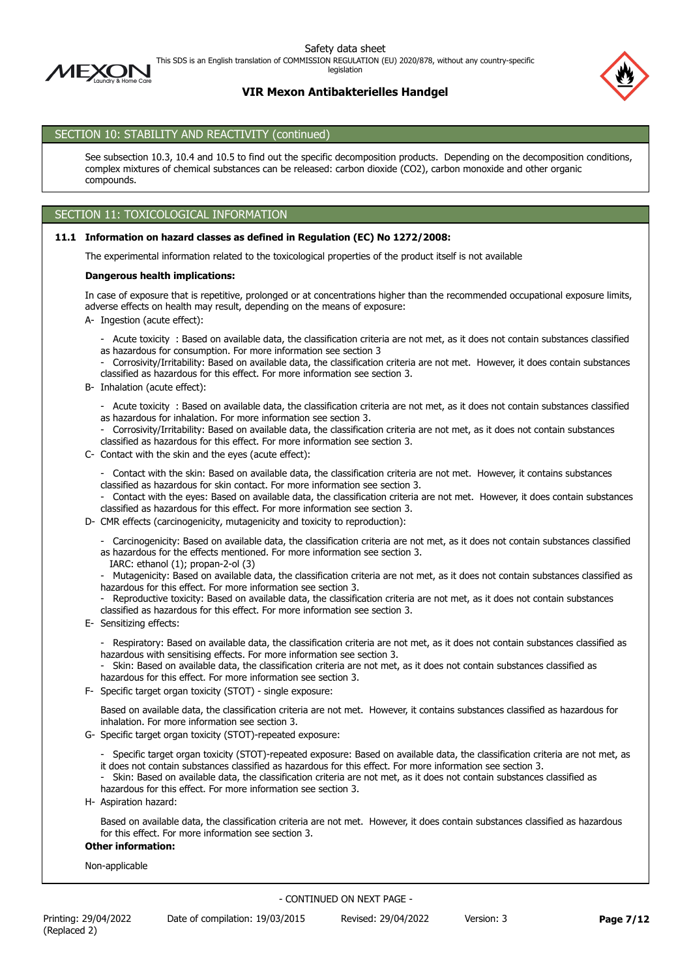

This SDS is an English translation of COMMISSION REGULATION (EU) 2020/878, without any country-specific

legislation

# **VIR Mexon Antibakterielles Handgel**



# SECTION 10: STABILITY AND REACTIVITY (continued)

See subsection 10.3, 10.4 and 10.5 to find out the specific decomposition products. Depending on the decomposition conditions, complex mixtures of chemical substances can be released: carbon dioxide (CO2), carbon monoxide and other organic compounds.

## SECTION 11: TOXICOLOGICAL INFORMATION

#### **11.1 Information on hazard classes as defined in Regulation (EC) No 1272/2008:**

The experimental information related to the toxicological properties of the product itself is not available

#### **Dangerous health implications:**

In case of exposure that is repetitive, prolonged or at concentrations higher than the recommended occupational exposure limits, adverse effects on health may result, depending on the means of exposure:

A- Ingestion (acute effect):

- Acute toxicity : Based on available data, the classification criteria are not met, as it does not contain substances classified as hazardous for consumption. For more information see section 3

- Corrosivity/Irritability: Based on available data, the classification criteria are not met. However, it does contain substances classified as hazardous for this effect. For more information see section 3.

B- Inhalation (acute effect):

- Acute toxicity : Based on available data, the classification criteria are not met, as it does not contain substances classified as hazardous for inhalation. For more information see section 3.

- Corrosivity/Irritability: Based on available data, the classification criteria are not met, as it does not contain substances classified as hazardous for this effect. For more information see section 3.
- C- Contact with the skin and the eyes (acute effect):

- Contact with the skin: Based on available data, the classification criteria are not met. However, it contains substances classified as hazardous for skin contact. For more information see section 3.

- Contact with the eyes: Based on available data, the classification criteria are not met. However, it does contain substances classified as hazardous for this effect. For more information see section 3.
- D- CMR effects (carcinogenicity, mutagenicity and toxicity to reproduction):
	- Carcinogenicity: Based on available data, the classification criteria are not met, as it does not contain substances classified as hazardous for the effects mentioned. For more information see section 3.

IARC: ethanol (1); propan-2-ol (3)

- Mutagenicity: Based on available data, the classification criteria are not met, as it does not contain substances classified as hazardous for this effect. For more information see section 3.

- Reproductive toxicity: Based on available data, the classification criteria are not met, as it does not contain substances classified as hazardous for this effect. For more information see section 3.
- E- Sensitizing effects:
	- Respiratory: Based on available data, the classification criteria are not met, as it does not contain substances classified as hazardous with sensitising effects. For more information see section 3.
	- Skin: Based on available data, the classification criteria are not met, as it does not contain substances classified as hazardous for this effect. For more information see section 3.
- F- Specific target organ toxicity (STOT) single exposure:

Based on available data, the classification criteria are not met. However, it contains substances classified as hazardous for inhalation. For more information see section 3.

- G- Specific target organ toxicity (STOT)-repeated exposure:
	- Specific target organ toxicity (STOT)-repeated exposure: Based on available data, the classification criteria are not met, as it does not contain substances classified as hazardous for this effect. For more information see section 3.
	- Skin: Based on available data, the classification criteria are not met, as it does not contain substances classified as hazardous for this effect. For more information see section 3.
- H- Aspiration hazard:

Based on available data, the classification criteria are not met. However, it does contain substances classified as hazardous for this effect. For more information see section 3.

### **Other information:**

Non-applicable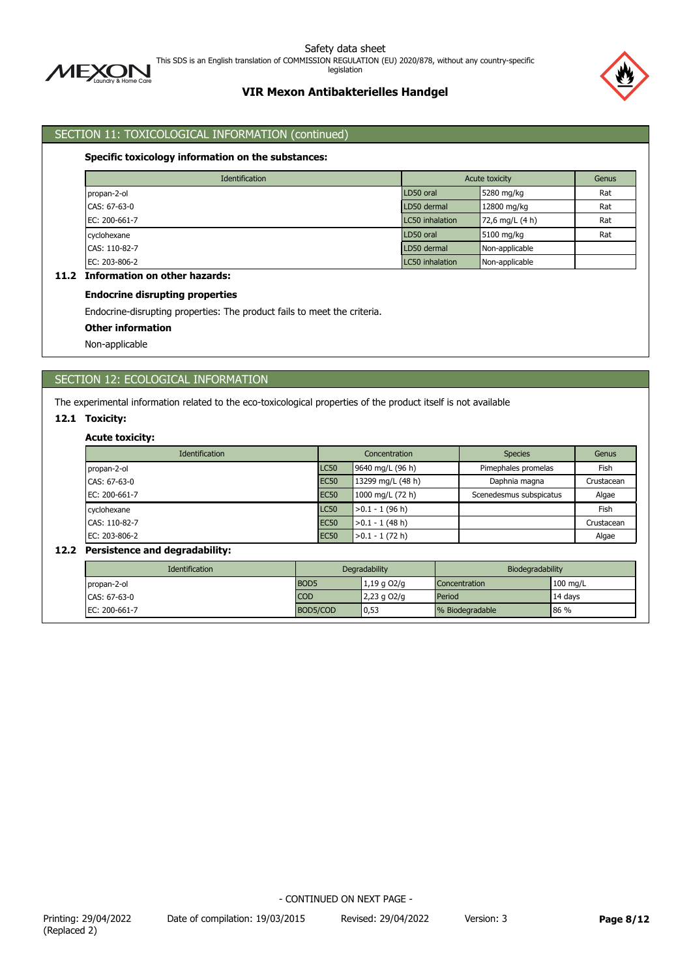

This SDS is an English translation of COMMISSION REGULATION (EU) 2020/878, without any country-specific

legislation

# **VIR Mexon Antibakterielles Handgel**



# SECTION 11: TOXICOLOGICAL INFORMATION (continued)

### **Specific toxicology information on the substances:**

|               | <b>Identification</b> |                 | Acute toxicity  |     |  |  |
|---------------|-----------------------|-----------------|-----------------|-----|--|--|
| propan-2-ol   |                       | LD50 oral       | 5280 mg/kg      |     |  |  |
| CAS: 67-63-0  |                       | LD50 dermal     | 12800 mg/kg     | Rat |  |  |
| EC: 200-661-7 |                       | LC50 inhalation | 72,6 mg/L (4 h) | Rat |  |  |
| cyclohexane   |                       | LD50 oral       | 5100 mg/kg      | Rat |  |  |
| CAS: 110-82-7 |                       | LD50 dermal     | Non-applicable  |     |  |  |
| EC: 203-806-2 |                       | LC50 inhalation | Non-applicable  |     |  |  |

# **11.2 Information on other hazards:**

### **Endocrine disrupting properties**

Endocrine-disrupting properties: The product fails to meet the criteria.

#### **Other information**

Non-applicable

# SECTION 12: ECOLOGICAL INFORMATION

The experimental information related to the eco-toxicological properties of the product itself is not available

### **12.1 Toxicity:**

### **Acute toxicity:**

| Identification              |             | Concentration     | <b>Species</b>          | Genus      |  |
|-----------------------------|-------------|-------------------|-------------------------|------------|--|
| LC50<br>propan-2-ol         |             | 9640 mg/L (96 h)  | Pimephales promelas     | Fish       |  |
| <b>EC50</b><br>CAS: 67-63-0 |             | 13299 mg/L (48 h) | Daphnia magna           | Crustacean |  |
| EC: 200-661-7               | <b>EC50</b> | 1000 mg/L (72 h)  | Scenedesmus subspicatus | Algae      |  |
| cyclohexane                 | LC50        | $>0.1 - 1$ (96 h) |                         | Fish       |  |
| CAS: 110-82-7               | <b>EC50</b> | $>0.1 - 1$ (48 h) |                         | Crustacean |  |
| EC: 203-806-2               | <b>EC50</b> | $>0.1 - 1(72 h)$  |                         | Algae      |  |

### **12.2 Persistence and degradability:**

| <b>Identification</b> | Degradability    |               | Biodegradability |            |  |
|-----------------------|------------------|---------------|------------------|------------|--|
| propan-2-ol           | BOD <sub>5</sub> | $1,19$ g O2/g | Concentration    | $100$ mg/L |  |
| CAS: 67-63-0          | <b>COD</b>       | $2,23$ g O2/g | Period           | 14 days    |  |
| EC: 200-661-7         | BOD5/COD         | 0,53          | % Biodegradable  | 86%        |  |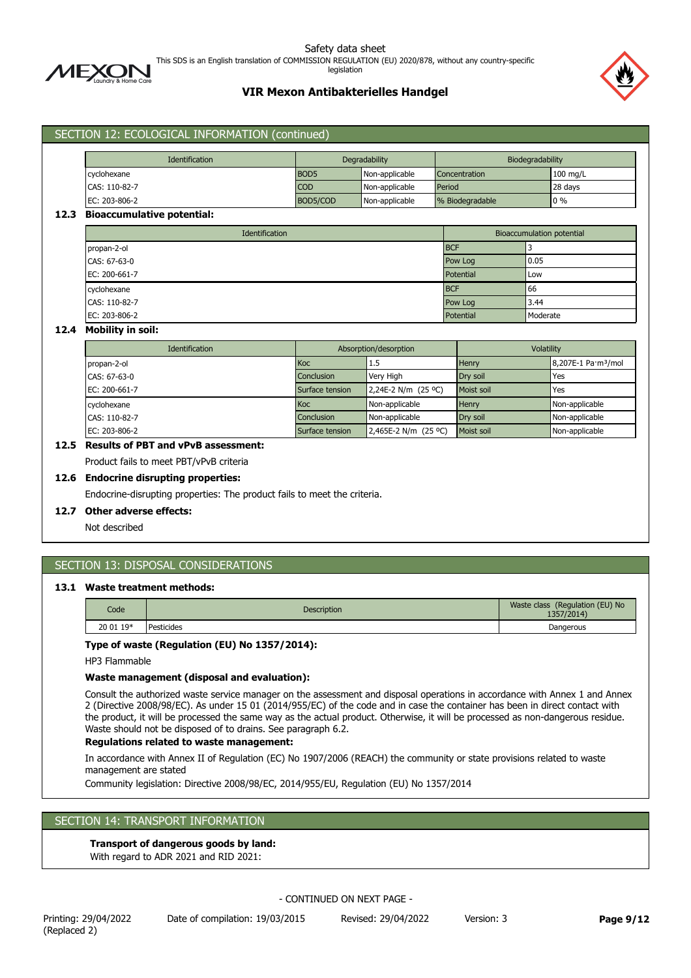

This SDS is an English translation of COMMISSION REGULATION (EU) 2020/878, without any country-specific

legislation

# **VIR Mexon Antibakterielles Handgel**



| Identification                    |  | Degradability    |                |                                  | Biodegradability |  |          |
|-----------------------------------|--|------------------|----------------|----------------------------------|------------------|--|----------|
| cyclohexane                       |  | BOD <sub>5</sub> | Non-applicable |                                  | Concentration    |  | 100 mg/L |
| CAS: 110-82-7                     |  | <b>COD</b>       | Non-applicable |                                  | Period           |  | 28 days  |
| EC: 203-806-2                     |  | BOD5/COD         | Non-applicable |                                  | % Biodegradable  |  | $0\%$    |
| <b>Bioaccumulative potential:</b> |  |                  |                |                                  |                  |  |          |
| Identification                    |  |                  |                | <b>Bioaccumulation potential</b> |                  |  |          |
| propan-2-ol                       |  |                  |                | <b>BCF</b>                       |                  |  |          |
| CAS: 67-63-0                      |  |                  | Pow Log        | 0.05                             |                  |  |          |
| EC: 200-661-7                     |  |                  |                | Potential                        | Low              |  |          |
| cyclohexane                       |  |                  |                | <b>BCF</b>                       | 66               |  |          |
| CAS: 110-82-7                     |  |                  |                | Pow Log                          | 3.44             |  |          |
| EC: 203-806-2                     |  |                  |                | Potential                        | Moderate         |  |          |

### **12.4 Mobility in soil:**

| Identification |                   | Absorption/desorption | Volatility |                                 |  |
|----------------|-------------------|-----------------------|------------|---------------------------------|--|
| propan-2-ol    | <b>Koc</b>        | 1.5                   | Henry      | 8,207E-1 Pa·m <sup>3</sup> /mol |  |
| CAS: 67-63-0   | <b>Conclusion</b> | Very High             | Dry soil   | Yes                             |  |
| EC: 200-661-7  | Surface tension   | 2,24E-2 N/m (25 °C)   | Moist soil | Yes                             |  |
| cyclohexane    | <b>Koc</b>        | Non-applicable        | Henry      | Non-applicable                  |  |
| CAS: 110-82-7  | Conclusion        | Non-applicable        | Drv soil   | Non-applicable                  |  |
| EC: 203-806-2  | Surface tension   | 2,465E-2 N/m (25 °C)  | Moist soil | Non-applicable                  |  |

# **12.5 Results of PBT and vPvB assessment:**

Product fails to meet PBT/vPvB criteria

SECTION 12: ECOLOGICAL INFORMATION (continued)

#### **12.6 Endocrine disrupting properties:**

Endocrine-disrupting properties: The product fails to meet the criteria.

#### **12.7 Other adverse effects:**

Not described

# SECTION 13: DISPOSAL CONSIDERATIONS

#### **13.1 Waste treatment methods:**

| Code      | <b>Description</b> | Waste class (Regulation (EU) No<br>1357/2014) |
|-----------|--------------------|-----------------------------------------------|
| 20 01 19* | Pesticides         | Dangerous                                     |

### **Type of waste (Regulation (EU) No 1357/2014):**

HP3 Flammable

#### **Waste management (disposal and evaluation):**

Consult the authorized waste service manager on the assessment and disposal operations in accordance with Annex 1 and Annex 2 (Directive 2008/98/EC). As under 15 01 (2014/955/EC) of the code and in case the container has been in direct contact with the product, it will be processed the same way as the actual product. Otherwise, it will be processed as non-dangerous residue. Waste should not be disposed of to drains. See paragraph 6.2.

### **Regulations related to waste management:**

In accordance with Annex II of Regulation (EC) No 1907/2006 (REACH) the community or state provisions related to waste management are stated

Community legislation: Directive 2008/98/EC, 2014/955/EU, Regulation (EU) No 1357/2014

## SECTION 14: TRANSPORT INFORMATION

### **Transport of dangerous goods by land:**

With regard to ADR 2021 and RID 2021: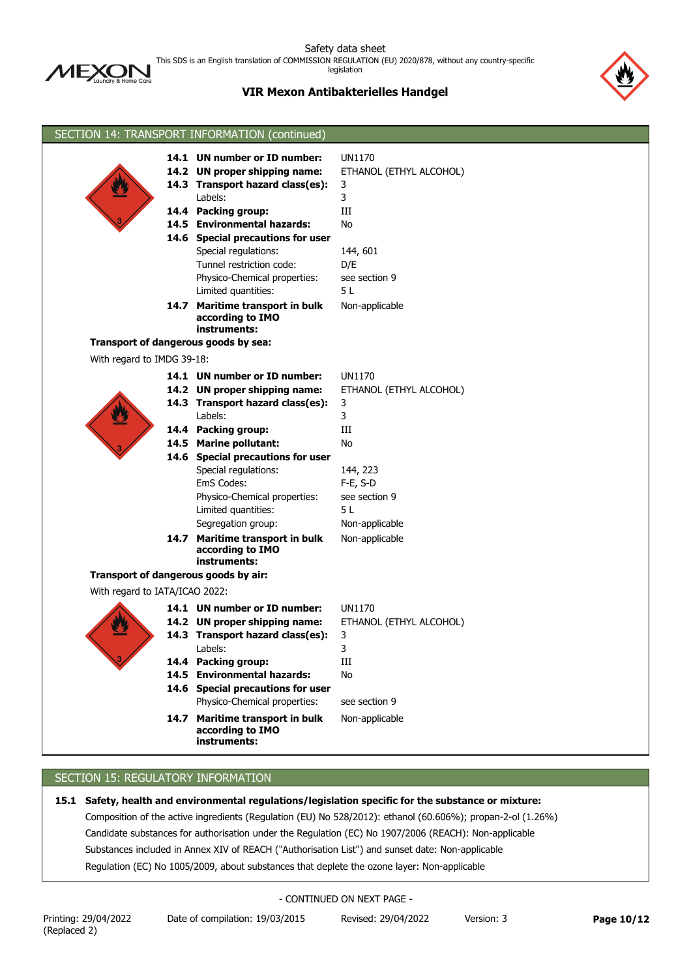

This SDS is an English translation of COMMISSION REGULATION (EU) 2020/878, without any country-specific

legislation



# **VIR Mexon Antibakterielles Handgel**

|                                | SECTION 14: TRANSPORT INFORMATION (continued)        |                         |
|--------------------------------|------------------------------------------------------|-------------------------|
|                                | 14.1 UN number or ID number:                         | <b>UN1170</b>           |
|                                | 14.2 UN proper shipping name:                        | ETHANOL (ETHYL ALCOHOL) |
|                                | 14.3 Transport hazard class(es):                     | 3                       |
|                                | Labels:                                              | 3                       |
|                                | 14.4 Packing group:                                  | Ш                       |
|                                | 14.5 Environmental hazards:                          | No                      |
|                                | 14.6 Special precautions for user                    |                         |
|                                | Special regulations:                                 | 144, 601                |
|                                | Tunnel restriction code:                             | D/E                     |
|                                | Physico-Chemical properties:                         | see section 9           |
|                                | Limited quantities:                                  | 5L                      |
|                                | 14.7 Maritime transport in bulk                      | Non-applicable          |
|                                | according to IMO                                     |                         |
|                                | instruments:                                         |                         |
|                                | Transport of dangerous goods by sea:                 |                         |
| With regard to IMDG 39-18:     |                                                      |                         |
|                                | 14.1 UN number or ID number:                         | <b>UN1170</b>           |
|                                | 14.2 UN proper shipping name:                        | ETHANOL (ETHYL ALCOHOL) |
|                                | 14.3 Transport hazard class(es):                     | 3                       |
|                                | Labels:                                              | 3                       |
|                                | 14.4 Packing group:                                  | Ш                       |
|                                | 14.5 Marine pollutant:                               | No                      |
|                                | 14.6 Special precautions for user                    |                         |
|                                | Special regulations:                                 | 144, 223                |
|                                | EmS Codes:                                           | $F-E, S-D$              |
|                                | Physico-Chemical properties:                         | see section 9           |
|                                | Limited quantities:                                  | 5 L                     |
|                                | Segregation group:                                   | Non-applicable          |
|                                | 14.7 Maritime transport in bulk                      | Non-applicable          |
|                                | according to IMO<br>instruments:                     |                         |
|                                | Transport of dangerous goods by air:                 |                         |
| With regard to IATA/ICAO 2022: |                                                      |                         |
|                                |                                                      |                         |
|                                | 14.1 UN number or ID number:                         | <b>UN1170</b>           |
|                                | 14.2 UN proper shipping name:                        | ETHANOL (ETHYL ALCOHOL) |
|                                | 14.3 Transport hazard class(es):                     | 3                       |
|                                | Labels:                                              | 3                       |
|                                | 14.4 Packing group:<br><b>Environmental hazards:</b> | III                     |
|                                | 14.5<br>14.6 Special precautions for user            | No                      |
|                                | Physico-Chemical properties:                         | see section 9           |
|                                |                                                      |                         |
|                                | 14.7 Maritime transport in bulk<br>according to IMO  | Non-applicable          |
|                                | instruments:                                         |                         |
|                                |                                                      |                         |

# SECTION 15: REGULATORY INFORMATION

**15.1 Safety, health and environmental regulations/legislation specific for the substance or mixture:** Composition of the active ingredients (Regulation (EU) No 528/2012): ethanol (60.606%); propan-2-ol (1.26%) Candidate substances for authorisation under the Regulation (EC) No 1907/2006 (REACH): Non-applicable Substances included in Annex XIV of REACH ("Authorisation List") and sunset date: Non-applicable Regulation (EC) No 1005/2009, about substances that deplete the ozone layer: Non-applicable

### - CONTINUED ON NEXT PAGE -

Printing: 29/04/2022 Date of compilation: 19/03/2015 Revised: 29/04/2022 Version: 3 **Page 10/12**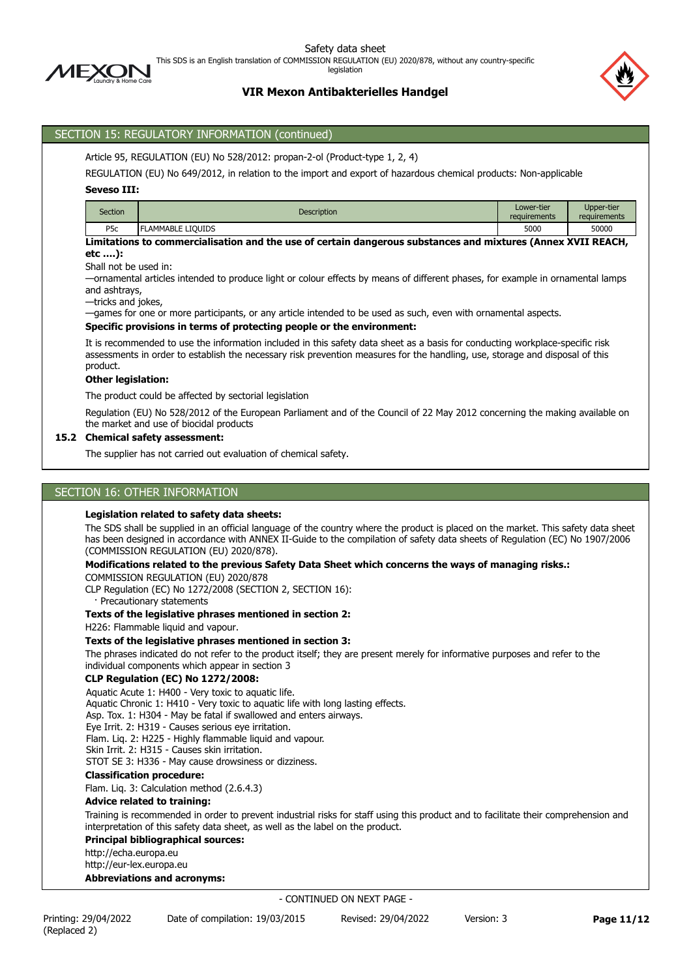

This SDS is an English translation of COMMISSION REGULATION (EU) 2020/878, without any country-specific

legislation



## **VIR Mexon Antibakterielles Handgel**

## SECTION 15: REGULATORY INFORMATION (continued)

Article 95, REGULATION (EU) No 528/2012: propan-2-ol (Product-type 1, 2, 4)

REGULATION (EU) No 649/2012, in relation to the import and export of hazardous chemical products: Non-applicable

### **Seveso III:**

| Section          | <b>Description</b> | Lower-tier<br>requirements | Upper-tier<br>requirements |
|------------------|--------------------|----------------------------|----------------------------|
| P <sub>5</sub> c | LAMMABLE LIOUIDS   | 5000                       | 50000                      |

**Limitations to commercialisation and the use of certain dangerous substances and mixtures (Annex XVII REACH, etc ….):**

Shall not be used in:

—ornamental articles intended to produce light or colour effects by means of different phases, for example in ornamental lamps and ashtrays,

—tricks and jokes,

—games for one or more participants, or any article intended to be used as such, even with ornamental aspects.

### **Specific provisions in terms of protecting people or the environment:**

It is recommended to use the information included in this safety data sheet as a basis for conducting workplace-specific risk assessments in order to establish the necessary risk prevention measures for the handling, use, storage and disposal of this product.

#### **Other legislation:**

The product could be affected by sectorial legislation

Regulation (EU) No 528/2012 of the European Parliament and of the Council of 22 May 2012 concerning the making available on the market and use of biocidal products

### **15.2 Chemical safety assessment:**

The supplier has not carried out evaluation of chemical safety.

### SECTION 16: OTHER INFORMATION

#### **Legislation related to safety data sheets:**

The SDS shall be supplied in an official language of the country where the product is placed on the market. This safety data sheet has been designed in accordance with ANNEX II-Guide to the compilation of safety data sheets of Regulation (EC) No 1907/2006 (COMMISSION REGULATION (EU) 2020/878).

### **Modifications related to the previous Safety Data Sheet which concerns the ways of managing risks.:**

COMMISSION REGULATION (EU) 2020/878

CLP Regulation (EC) No 1272/2008 (SECTION 2, SECTION 16):

· Precautionary statements

### **Texts of the legislative phrases mentioned in section 2:**

H226: Flammable liquid and vapour.

### **Texts of the legislative phrases mentioned in section 3:**

The phrases indicated do not refer to the product itself; they are present merely for informative purposes and refer to the individual components which appear in section 3

### **CLP Regulation (EC) No 1272/2008:**

Aquatic Acute 1: H400 - Very toxic to aquatic life.

Aquatic Chronic 1: H410 - Very toxic to aquatic life with long lasting effects.

Asp. Tox. 1: H304 - May be fatal if swallowed and enters airways.

Eye Irrit. 2: H319 - Causes serious eye irritation.

Flam. Liq. 2: H225 - Highly flammable liquid and vapour.

Skin Irrit. 2: H315 - Causes skin irritation.

STOT SE 3: H336 - May cause drowsiness or dizziness.

### **Classification procedure:**

Flam. Liq. 3: Calculation method (2.6.4.3)

#### **Advice related to training:**

Training is recommended in order to prevent industrial risks for staff using this product and to facilitate their comprehension and interpretation of this safety data sheet, as well as the label on the product.

### **Principal bibliographical sources:**

http://echa.europa.eu

http://eur-lex.europa.eu

### **Abbreviations and acronyms:**